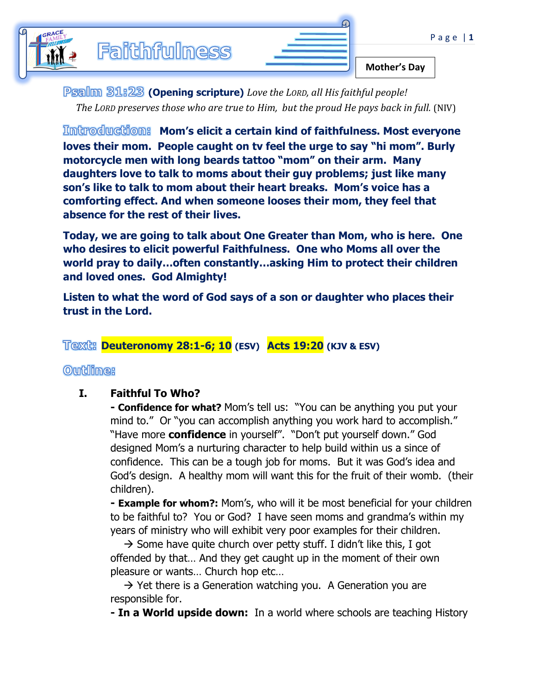| تلہ |  |                     |
|-----|--|---------------------|
|     |  | <b>Mother's Day</b> |

**(Opening scripture)** *Love the LORD, all His faithful people! The LORD preserves those who are true to Him, but the proud He pays back in full.* (NIV)

**Mom's elicit a certain kind of faithfulness. Most everyone loves their mom. People caught on tv feel the urge to say "hi mom". Burly motorcycle men with long beards tattoo "mom" on their arm. Many daughters love to talk to moms about their guy problems; just like many son's like to talk to mom about their heart breaks. Mom's voice has a comforting effect. And when someone looses their mom, they feel that absence for the rest of their lives.** 

**Today, we are going to talk about One Greater than Mom, who is here. One who desires to elicit powerful Faithfulness. One who Moms all over the world pray to daily…often constantly…asking Him to protect their children and loved ones. God Almighty!** 

**Listen to what the word of God says of a son or daughter who places their trust in the Lord.** 

# **Deuteronomy 28:1-6; 10 (ESV) Acts 19:20 (KJV & ESV)**

### **Outline:**

### **I. Faithful To Who?**

**- Confidence for what?** Mom's tell us: "You can be anything you put your mind to." Or "you can accomplish anything you work hard to accomplish." "Have more **confidence** in yourself". "Don't put yourself down." God designed Mom's a nurturing character to help build within us a since of confidence. This can be a tough job for moms. But it was God's idea and God's design. A healthy mom will want this for the fruit of their womb. (their children).

**- Example for whom?:** Mom's, who will it be most beneficial for your children to be faithful to? You or God? I have seen moms and grandma's within my years of ministry who will exhibit very poor examples for their children.

 $\rightarrow$  Some have quite church over petty stuff. I didn't like this, I got offended by that… And they get caught up in the moment of their own pleasure or wants… Church hop etc…

 $\rightarrow$  Yet there is a Generation watching you. A Generation you are responsible for.

**- In a World upside down:** In a world where schools are teaching History